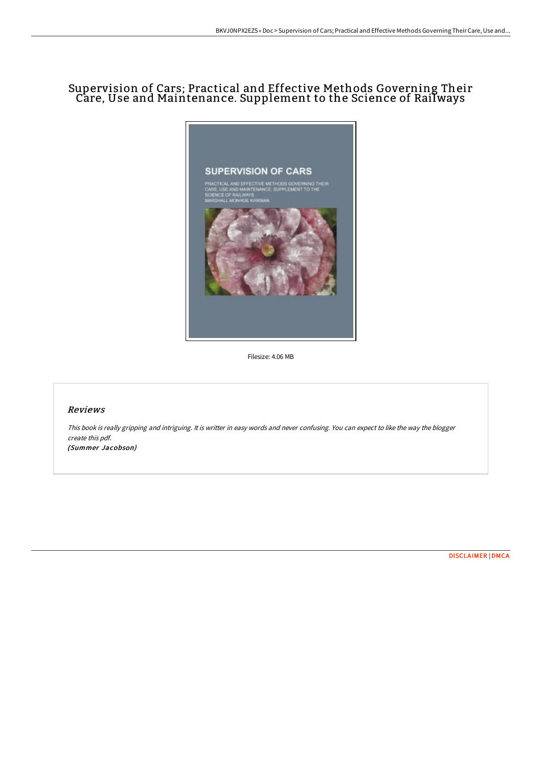# Supervision of Cars; Practical and Effective Methods Governing Their Care, Use and Maintenance. Supplement to the Science of Railways



Filesize: 4.06 MB

## Reviews

This book is really gripping and intriguing. It is writter in easy words and never confusing. You can expect to like the way the blogger create this pdf. (Summer Jacobson)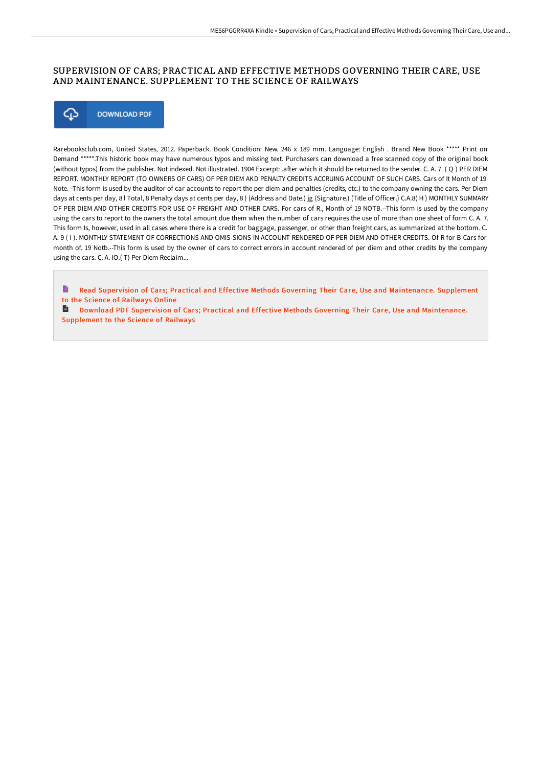## SUPERVISION OF CARS; PRACTICAL AND EFFECTIVE METHODS GOVERNING THEIR CARE, USE AND MAINTENANCE. SUPPLEMENT TO THE SCIENCE OF RAILWAYS



Rarebooksclub.com, United States, 2012. Paperback. Book Condition: New. 246 x 189 mm. Language: English . Brand New Book \*\*\*\*\* Print on Demand \*\*\*\*\*.This historic book may have numerous typos and missing text. Purchasers can download a free scanned copy of the original book (without typos) from the publisher. Not indexed. Not illustrated. 1904 Excerpt: .after which it should be returned to the sender. C. A. 7. (O) PER DIEM REPORT. MONTHLY REPORT (TO OWNERS OF CARS) OF PER DIEM AKD PENALTY CREDITS ACCRUING ACCOUNT OF SUCH CARS. Cars of It Month of 19 Note.--This form is used by the auditor of car accounts to report the per diem and penalties (credits, etc.) to the company owning the cars. Per Diem days at cents per day, 8 l Total, 8 Penalty days at cents per day, 8) (Address and Date.) jg (Signature.) (Title of Officer.) C.A.8(H) MONTHLY SUMMARY OF PER DIEM AND OTHER CREDITS FOR USE OF FREIGHT AND OTHER CARS. For cars of R., Month of 19 NOTB.--This form is used by the company using the cars to report to the owners the total amount due them when the number of cars requires the use of more than one sheet of form C. A. 7. This form Is, however, used in all cases where there is a credit for baggage, passenger, or other than freight cars, as summarized at the bottom. C. A. 9 ( I ). MONTHLY STATEMENT OF CORRECTIONS AND OMIS-SIONS IN ACCOUNT RENDERED OF PER DIEM AND OTHER CREDITS. Of R for B Cars for month of. 19 Notb.--This form is used by the owner of cars to correct errors in account rendered of per diem and other credits by the company using the cars. C. A. IO.( T) Per Diem Reclaim...

Read Supervision of Cars; Practical and Effective Methods Governing Their Care, Use and [Maintenance.](http://techno-pub.tech/supervision-of-cars-practical-and-effective-meth.html) Supplement to the Science of Railways Online

**Download PDF Supervision of Cars; Practical and Effective Methods Governing Their Care, Use and [Maintenance.](http://techno-pub.tech/supervision-of-cars-practical-and-effective-meth.html)** Supplement to the Science of Railways